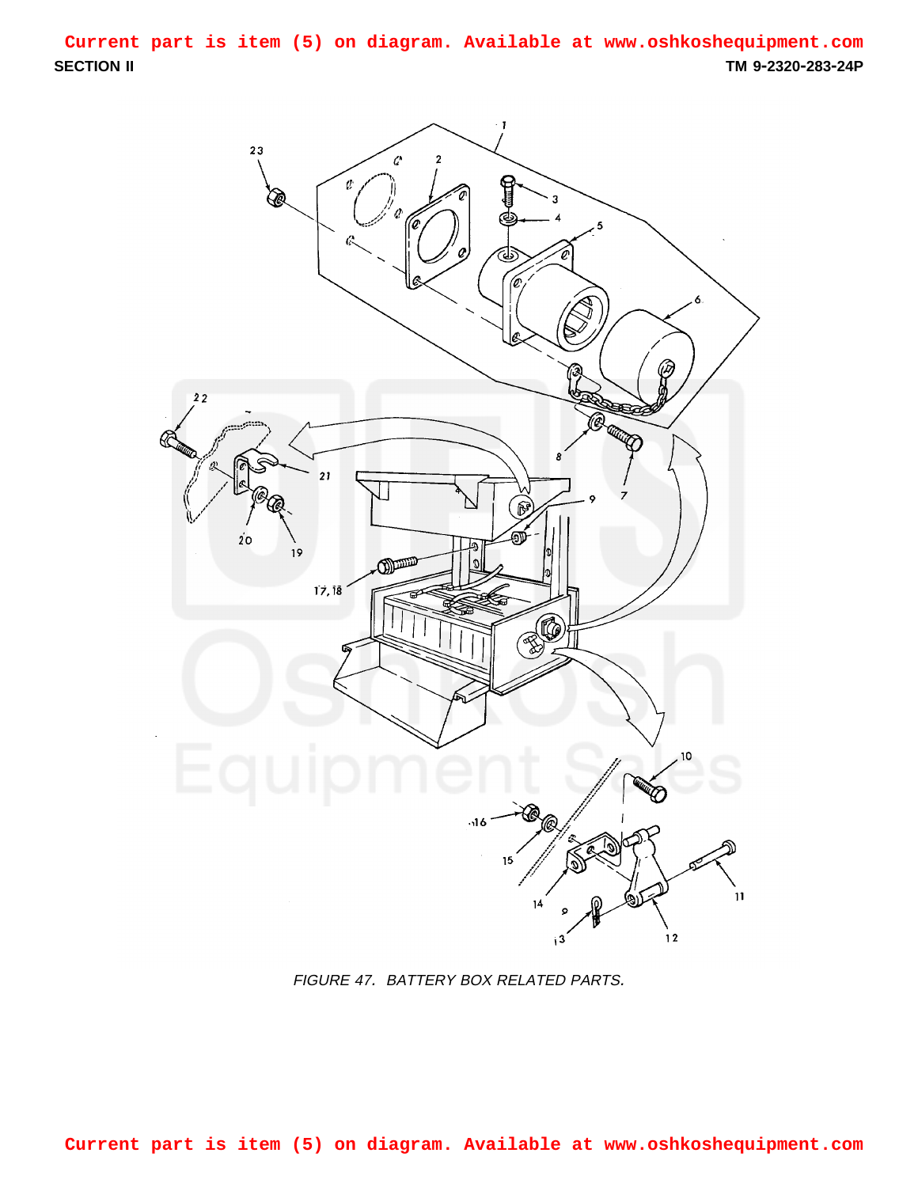<span id="page-0-0"></span>**SECTION II TM 9-2320-283-24P Current part is item (5) on diagram. Available at www.oshkoshequipment.com**



FIGURE 47. BATTERY BOX RELATED PARTS.

**Current part is item (5) on diagram. Available at www.oshkoshequipment.com**